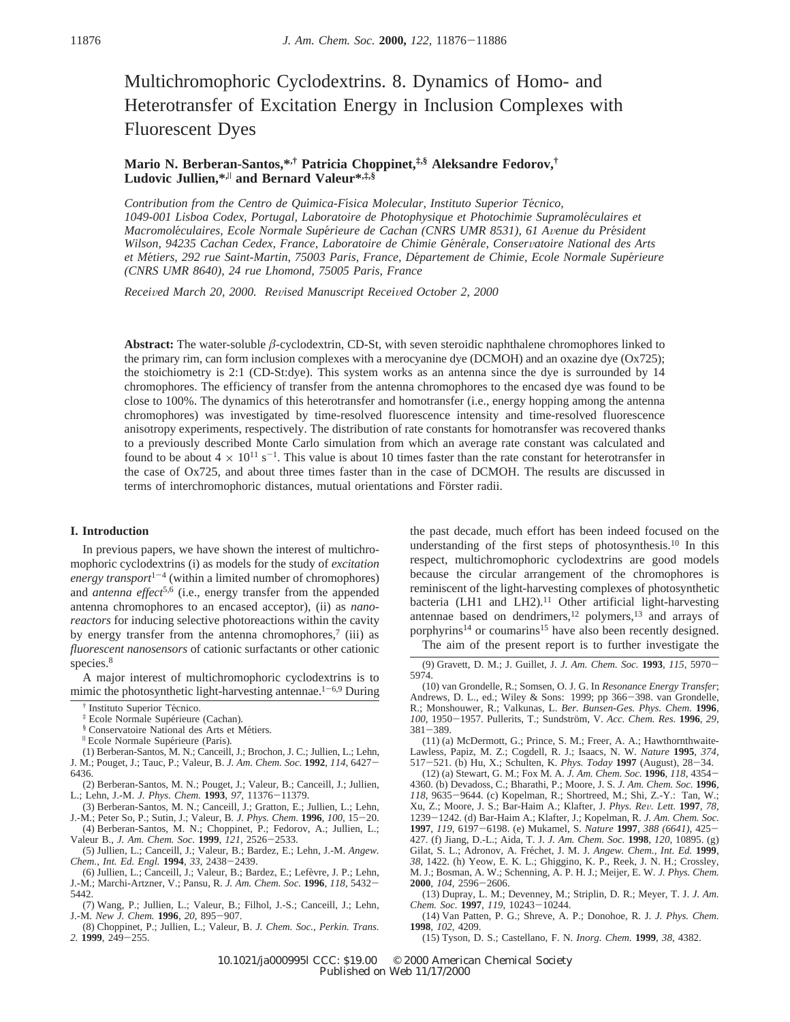# Multichromophoric Cyclodextrins. 8. Dynamics of Homo- and Heterotransfer of Excitation Energy in Inclusion Complexes with Fluorescent Dyes

# **Mario N. Berberan-Santos,\*,† Patricia Choppinet,‡,§ Aleksandre Fedorov,† Ludovic Jullien,\*,**<sup>|</sup> **and Bernard Valeur\*,‡,§**

*Contribution from the Centro de Quı*´*mica-Fı*´*sica Molecular, Instituto Superior Te*´*cnico, 1049-001 Lisboa Codex, Portugal, Laboratoire de Photophysique et Photochimie Supramole*´*culaires et Macromole*´*culaires, Ecole Normale Supe*´*rieure de Cachan (CNRS UMR 8531), 61 A*V*enue du Pre*´*sident Wilson, 94235 Cachan Cedex, France, Laboratoire de Chimie Ge*´*ne*´*rale, Conser*V*atoire National des Arts et Me*´*tiers, 292 rue Saint-Martin, 75003 Paris, France, De*´*partement de Chimie, Ecole Normale Supe*´*rieure (CNRS UMR 8640), 24 rue Lhomond, 75005 Paris, France*

*Recei*V*ed March 20, 2000. Re*V*ised Manuscript Recei*V*ed October 2, 2000*

**Abstract:** The water-soluble *â*-cyclodextrin, CD-St, with seven steroidic naphthalene chromophores linked to the primary rim, can form inclusion complexes with a merocyanine dye (DCMOH) and an oxazine dye (Ox725); the stoichiometry is 2:1 (CD-St:dye). This system works as an antenna since the dye is surrounded by 14 chromophores. The efficiency of transfer from the antenna chromophores to the encased dye was found to be close to 100%. The dynamics of this heterotransfer and homotransfer (i.e., energy hopping among the antenna chromophores) was investigated by time-resolved fluorescence intensity and time-resolved fluorescence anisotropy experiments, respectively. The distribution of rate constants for homotransfer was recovered thanks to a previously described Monte Carlo simulation from which an average rate constant was calculated and found to be about  $4 \times 10^{11}$  s<sup>-1</sup>. This value is about 10 times faster than the rate constant for heterotransfer in the case of Ox725, and about three times faster than in the case of DCMOH. The results are discussed in terms of interchromophoric distances, mutual orientations and Förster radii.

# **I. Introduction**

In previous papers, we have shown the interest of multichromophoric cyclodextrins (i) as models for the study of *excitation energy transport* $1-4$  (within a limited number of chromophores) and *antenna effect*5,6 (i.e., energy transfer from the appended antenna chromophores to an encased acceptor), (ii) as *nanoreactors* for inducing selective photoreactions within the cavity by energy transfer from the antenna chromophores, $7$  (iii) as *fluorescent nanosensors* of cationic surfactants or other cationic species.<sup>8</sup>

A major interest of multichromophoric cyclodextrins is to mimic the photosynthetic light-harvesting antennae.<sup>1-6,9</sup> During

- (1) Berberan-Santos, M. N.; Canceill, J.; Brochon, J. C.; Jullien, L.; Lehn, J. M.; Pouget, J.; Tauc, P.; Valeur, B. *J. Am. Chem. Soc.* **<sup>1992</sup>**, *<sup>114</sup>*, 6427- 6436.
- (2) Berberan-Santos, M. N.; Pouget, J.; Valeur, B.; Canceill, J.; Jullien, L.; Lehn, J.-M. *J. Phys. Chem.* **<sup>1993</sup>**, *<sup>97</sup>*, 11376-11379.
- (3) Berberan-Santos, M. N.; Canceill, J.; Gratton, E.; Jullien, L.; Lehn, J.-M.; Peter So, P.; Sutin, J.; Valeur, B*. J. Phys. Chem.* **<sup>1996</sup>**, *<sup>100</sup>*, 15-20.
- (4) Berberan-Santos, M. N.; Choppinet, P.; Fedorov, A.; Jullien, L.;

Valeur B., *J. Am. Chem. Soc.* **<sup>1999</sup>**, *<sup>121</sup>*, 2526-2533. (5) Jullien, L.; Canceill, J.; Valeur, B.; Bardez, E.; Lehn, J.-M. *Angew. Chem., Int. Ed. Engl.* **<sup>1994</sup>**, *<sup>33</sup>*, 2438-2439.

- (6) Jullien, L.; Canceill, J.; Valeur, B.; Bardez, E.; Lefèvre, J. P.; Lehn, J.-M.; Marchi-Artzner, V.; Pansu, R. *J. Am. Chem. Soc.* **<sup>1996</sup>**, *<sup>118</sup>*, 5432- 5442.
- (7) Wang, P.; Jullien, L.; Valeur, B.; Filhol, J.-S.; Canceill, J.; Lehn, J.-M. *New J. Chem.* **<sup>1996</sup>**, *<sup>20</sup>*, 895-907.

(8) Choppinet, P.; Jullien, L.; Valeur, B. *J. Chem. Soc., Perkin. Trans. 2.* **<sup>1999</sup>**, 249-255.

the past decade, much effort has been indeed focused on the understanding of the first steps of photosynthesis.10 In this respect, multichromophoric cyclodextrins are good models because the circular arrangement of the chromophores is reminiscent of the light-harvesting complexes of photosynthetic bacteria (LH1 and LH2).<sup>11</sup> Other artificial light-harvesting antennae based on dendrimers,<sup>12</sup> polymers,<sup>13</sup> and arrays of porphyrins<sup>14</sup> or coumarins<sup>15</sup> have also been recently designed. The aim of the present report is to further investigate the

(9) Gravett, D. M.; J. Guillet, J. *J. Am. Chem. Soc.* **<sup>1993</sup>**, *<sup>115</sup>*, 5970- 5974.

<sup>†</sup> Instituto Superior Técnico.<br>‡ Ecole Normale Supérieure (Cachan).

<sup>‡</sup> Ecole Normale Supe´rieure (Cachan)*.* § Conservatoire National des Arts et Me´tiers*.* <sup>|</sup> Ecole Normale Supe´rieure (Paris)*.*

<sup>(10)</sup> van Grondelle, R.; Somsen, O. J. G. In *Resonance Energy Transfer*; Andrews, D. L., ed.; Wiley & Sons: 1999; pp 366-398. van Grondelle, R.; Monshouwer, R.; Valkunas, L. *Ber. Bunsen-Ges. Phys. Chem.* **1996**, *<sup>100</sup>*, 1950-1957. Pullerits, T.; Sundstro¨m, V. *Acc. Chem. Res.* **<sup>1996</sup>**, *<sup>29</sup>*, <sup>381</sup>-389.

<sup>(11) (</sup>a) McDermott, G.; Prince, S. M.; Freer, A. A.; Hawthornthwaite-Lawless, Papiz, M. Z.; Cogdell, R. J.; Isaacs, N. W. *Nature* **1995**, *374*, <sup>517</sup>-521. (b) Hu, X.; Schulten, K. *Phys. Today* **<sup>1997</sup>** (August), 28-34.

<sup>(12) (</sup>a) Stewart, G. M.; Fox M. A. *J. Am. Chem. Soc.* **<sup>1996</sup>**, *<sup>118</sup>*, 4354- 4360. (b) Devadoss, C.; Bharathi, P.; Moore, J. S. *J. Am. Chem. Soc.* **1996**, *<sup>118</sup>*, 9635-9644. (c) Kopelman, R.; Shortreed, M.; Shi, Z.-Y.: Tan, W.; Xu, Z.; Moore, J. S.; Bar-Haim A.; Klafter, J. *Phys. Re*V*. Lett.* **<sup>1997</sup>**, *<sup>78</sup>*, <sup>1239</sup>-1242. (d) Bar-Haim A.; Klafter, J.; Kopelman, R. *J. Am. Chem. Soc.* **<sup>1997</sup>**, *<sup>119</sup>*, 6197-6198. (e) Mukamel, S. *Nature* **<sup>1997</sup>**, *388 (6641)*, 425- 427. (f) Jiang, D.-L.; Aida, T. J. *J. Am. Chem. Soc.* **1998**, *120*, 10895. (g) Gilat, S. L.; Adronov, A. Fréchet, J. M. J. *Angew. Chem., Int. Ed.* 1999, *38*, 1422. (h) Yeow, E. K. L.; Ghiggino, K. P., Reek, J. N. H.; Crossley, M. J.; Bosman, A. W.; Schenning, A. P. H. J.; Meijer, E. W. *J. Phys. Chem.* **<sup>2000</sup>**, *<sup>104</sup>*, 2596-2606.

<sup>(13)</sup> Dupray, L. M.; Devenney, M.; Striplin, D. R.; Meyer, T. J. *J. Am. Chem. Soc.* **<sup>1997</sup>**, *<sup>119</sup>*, 10243-10244.

<sup>(14)</sup> Van Patten, P. G.; Shreve, A. P.; Donohoe, R. J. *J. Phys. Chem.* **1998**, *102*, 4209.

<sup>(15)</sup> Tyson, D. S.; Castellano, F. N. *Inorg. Chem.* **1999**, *38*, 4382.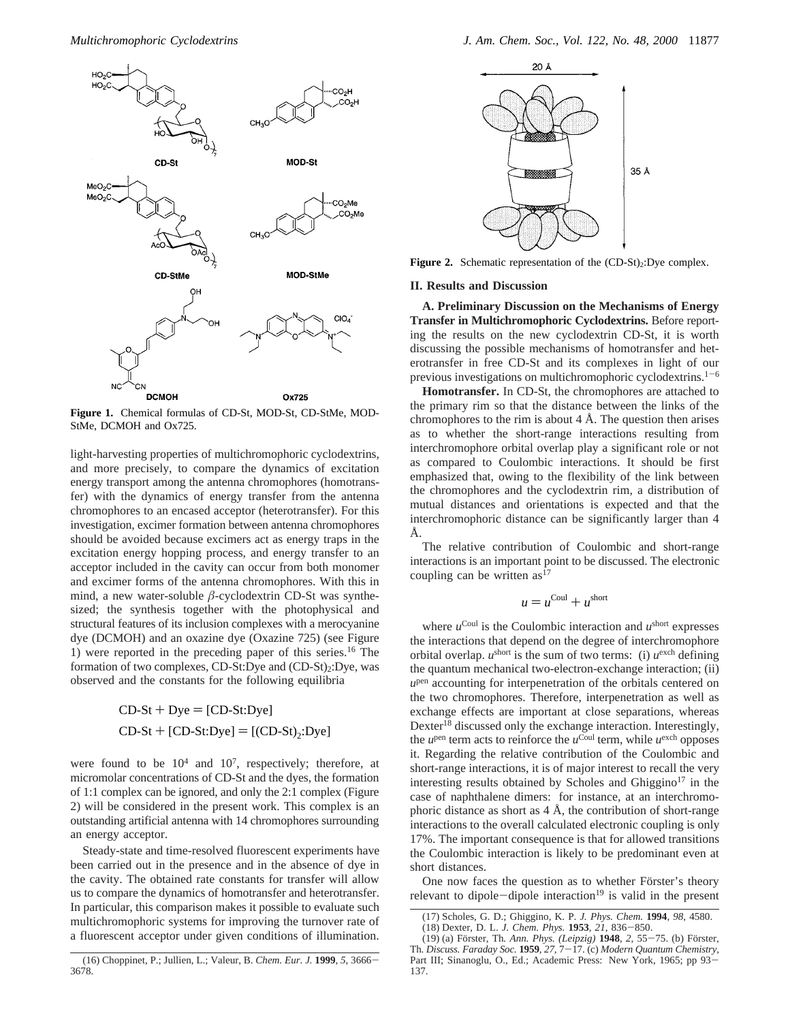

**Figure 1.** Chemical formulas of CD-St, MOD-St, CD-StMe, MOD-StMe, DCMOH and Ox725.

light-harvesting properties of multichromophoric cyclodextrins, and more precisely, to compare the dynamics of excitation energy transport among the antenna chromophores (homotransfer) with the dynamics of energy transfer from the antenna chromophores to an encased acceptor (heterotransfer). For this investigation, excimer formation between antenna chromophores should be avoided because excimers act as energy traps in the excitation energy hopping process, and energy transfer to an acceptor included in the cavity can occur from both monomer and excimer forms of the antenna chromophores. With this in mind, a new water-soluble *â*-cyclodextrin CD-St was synthesized; the synthesis together with the photophysical and structural features of its inclusion complexes with a merocyanine dye (DCMOH) and an oxazine dye (Oxazine 725) (see Figure 1) were reported in the preceding paper of this series.16 The formation of two complexes, CD-St:Dye and (CD-St)<sub>2</sub>:Dye, was observed and the constants for the following equilibria

> $CD-St + Dye = [CD-St:Dye]$  $CD-St + [CD-St:Dye] = [(CD-St),:Dye]$

were found to be  $10^4$  and  $10^7$ , respectively; therefore, at micromolar concentrations of CD-St and the dyes, the formation of 1:1 complex can be ignored, and only the 2:1 complex (Figure 2) will be considered in the present work. This complex is an outstanding artificial antenna with 14 chromophores surrounding an energy acceptor.

Steady-state and time-resolved fluorescent experiments have been carried out in the presence and in the absence of dye in the cavity. The obtained rate constants for transfer will allow us to compare the dynamics of homotransfer and heterotransfer. In particular, this comparison makes it possible to evaluate such multichromophoric systems for improving the turnover rate of a fluorescent acceptor under given conditions of illumination.



Figure 2. Schematic representation of the (CD-St)<sub>2</sub>:Dye complex.

#### **II. Results and Discussion**

**A. Preliminary Discussion on the Mechanisms of Energy Transfer in Multichromophoric Cyclodextrins.** Before reporting the results on the new cyclodextrin CD-St, it is worth discussing the possible mechanisms of homotransfer and heterotransfer in free CD-St and its complexes in light of our previous investigations on multichromophoric cyclodextrins. $1-6$ 

**Homotransfer.** In CD-St, the chromophores are attached to the primary rim so that the distance between the links of the chromophores to the rim is about  $4 \text{ Å}$ . The question then arises as to whether the short-range interactions resulting from interchromophore orbital overlap play a significant role or not as compared to Coulombic interactions. It should be first emphasized that, owing to the flexibility of the link between the chromophores and the cyclodextrin rim, a distribution of mutual distances and orientations is expected and that the interchromophoric distance can be significantly larger than 4 Å.

The relative contribution of Coulombic and short-range interactions is an important point to be discussed. The electronic coupling can be written  $as<sup>17</sup>$ 

$$
u = u^{\text{Coul}} + u^{\text{short}}
$$

where  $u^{\text{Coul}}$  is the Coulombic interaction and  $u^{\text{short}}$  expresses the interactions that depend on the degree of interchromophore orbital overlap.  $u^{\text{short}}$  is the sum of two terms: (i)  $u^{\text{exch}}$  defining the quantum mechanical two-electron-exchange interaction; (ii) *u*pen accounting for interpenetration of the orbitals centered on the two chromophores. Therefore, interpenetration as well as exchange effects are important at close separations, whereas Dexter<sup>18</sup> discussed only the exchange interaction. Interestingly, the  $u^{pen}$  term acts to reinforce the  $u^{Coul}$  term, while  $u^{exch}$  opposes it. Regarding the relative contribution of the Coulombic and short-range interactions, it is of major interest to recall the very interesting results obtained by Scholes and Ghiggino<sup>17</sup> in the case of naphthalene dimers: for instance, at an interchromophoric distance as short as  $4 \text{ Å}$ , the contribution of short-range interactions to the overall calculated electronic coupling is only 17%. The important consequence is that for allowed transitions the Coulombic interaction is likely to be predominant even at short distances.

One now faces the question as to whether Förster's theory relevant to dipole-dipole interaction<sup>19</sup> is valid in the present

<sup>(16)</sup> Choppinet, P.; Jullien, L.; Valeur, B. *Chem. Eur. J.* **<sup>1999</sup>**, *<sup>5</sup>*, 3666- 3678.

<sup>(17)</sup> Scholes, G. D.; Ghiggino, K. P. *J. Phys. Chem.* **1994**, *98*, 4580.

<sup>(18)</sup> Dexter, D. L. *J. Chem. Phys.* **<sup>1953</sup>**, *<sup>21</sup>*, 836-850.

<sup>(19) (</sup>a) Fo¨rster, Th*. Ann. Phys. (Leipzig)* **<sup>1948</sup>**, *<sup>2</sup>*, 55-75. (b) Fo¨rster, Th. *Discuss. Faraday Soc.* **<sup>1959</sup>**, *<sup>27</sup>*, 7-17. (c) *Modern Quantum Chemistry*, Part III; Sinanoglu, O., Ed.; Academic Press: New York, 1965; pp 93- 137.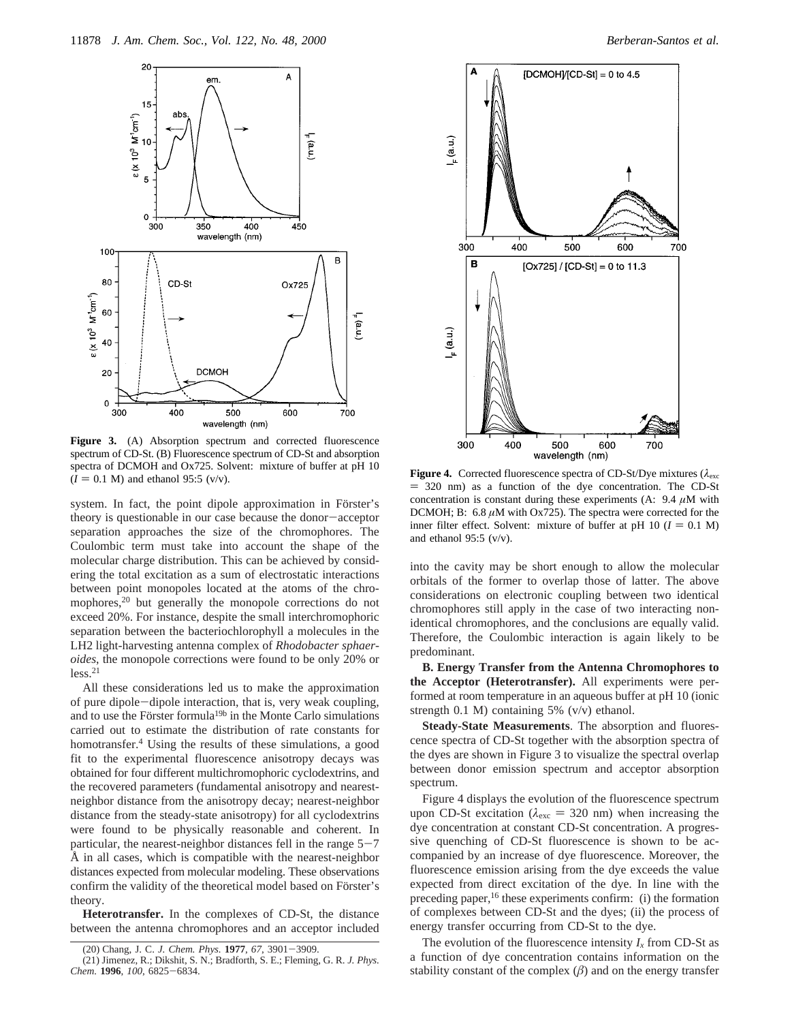

Figure 3. (A) Absorption spectrum and corrected fluorescence spectrum of CD-St. (B) Fluorescence spectrum of CD-St and absorption spectra of DCMOH and Ox725. Solvent: mixture of buffer at pH 10

system. In fact, the point dipole approximation in Förster's theory is questionable in our case because the donor-acceptor separation approaches the size of the chromophores. The Coulombic term must take into account the shape of the molecular charge distribution. This can be achieved by considering the total excitation as a sum of electrostatic interactions between point monopoles located at the atoms of the chromophores,<sup>20</sup> but generally the monopole corrections do not exceed 20%. For instance, despite the small interchromophoric separation between the bacteriochlorophyll a molecules in the LH2 light-harvesting antenna complex of *Rhodobacter sphaeroides*, the monopole corrections were found to be only 20% or  $less.<sup>21</sup>$ 

All these considerations led us to make the approximation of pure dipole-dipole interaction, that is, very weak coupling, and to use the Förster formula<sup>19b</sup> in the Monte Carlo simulations carried out to estimate the distribution of rate constants for homotransfer.4 Using the results of these simulations, a good fit to the experimental fluorescence anisotropy decays was obtained for four different multichromophoric cyclodextrins, and the recovered parameters (fundamental anisotropy and nearestneighbor distance from the anisotropy decay; nearest-neighbor distance from the steady-state anisotropy) for all cyclodextrins were found to be physically reasonable and coherent. In particular, the nearest-neighbor distances fell in the range  $5-7$ Å in all cases, which is compatible with the nearest-neighbor distances expected from molecular modeling. These observations confirm the validity of the theoretical model based on Förster's theory.

**Heterotransfer.** In the complexes of CD-St, the distance between the antenna chromophores and an acceptor included



Figure 4. Corrected fluorescence spectra of CD-St/Dye mixtures ( $\lambda_{\text{exc}}$ )  $I = 0.1 \text{ M}$ ) and ethanol 95:5 (v/v).<br>  $= 320 \text{ nm}$ ) as a function of the dye concentration. The CD-St<br>
concentration is constant during these e concentration is constant during these experiments (A:  $9.4 \mu M$  with DCMOH; B: 6.8 *µ*M with Ox725). The spectra were corrected for the inner filter effect. Solvent: mixture of buffer at pH 10 ( $I = 0.1$  M) and ethanol 95:5 (v/v).

into the cavity may be short enough to allow the molecular orbitals of the former to overlap those of latter. The above considerations on electronic coupling between two identical chromophores still apply in the case of two interacting nonidentical chromophores, and the conclusions are equally valid. Therefore, the Coulombic interaction is again likely to be predominant.

**B. Energy Transfer from the Antenna Chromophores to the Acceptor (Heterotransfer).** All experiments were performed at room temperature in an aqueous buffer at pH 10 (ionic strength 0.1 M) containing 5% (v/v) ethanol.

**Steady-State Measurements**. The absorption and fluorescence spectra of CD-St together with the absorption spectra of the dyes are shown in Figure 3 to visualize the spectral overlap between donor emission spectrum and acceptor absorption spectrum.

Figure 4 displays the evolution of the fluorescence spectrum upon CD-St excitation ( $\lambda_{\rm exc}$  = 320 nm) when increasing the dye concentration at constant CD-St concentration. A progressive quenching of CD-St fluorescence is shown to be accompanied by an increase of dye fluorescence. Moreover, the fluorescence emission arising from the dye exceeds the value expected from direct excitation of the dye. In line with the preceding paper,<sup>16</sup> these experiments confirm: (i) the formation of complexes between CD-St and the dyes; (ii) the process of energy transfer occurring from CD-St to the dye.

The evolution of the fluorescence intensity  $I_x$  from CD-St as a function of dye concentration contains information on the stability constant of the complex  $(\beta)$  and on the energy transfer

<sup>(20)</sup> Chang, J. C. *J. Chem. Phys.* **<sup>1977</sup>**, *<sup>67</sup>*, 3901-3909.

<sup>(21)</sup> Jimenez, R.; Dikshit, S. N.; Bradforth, S. E.; Fleming, G. R. *J. Phys. Chem.* **<sup>1996</sup>**, *<sup>100</sup>*, 6825-6834.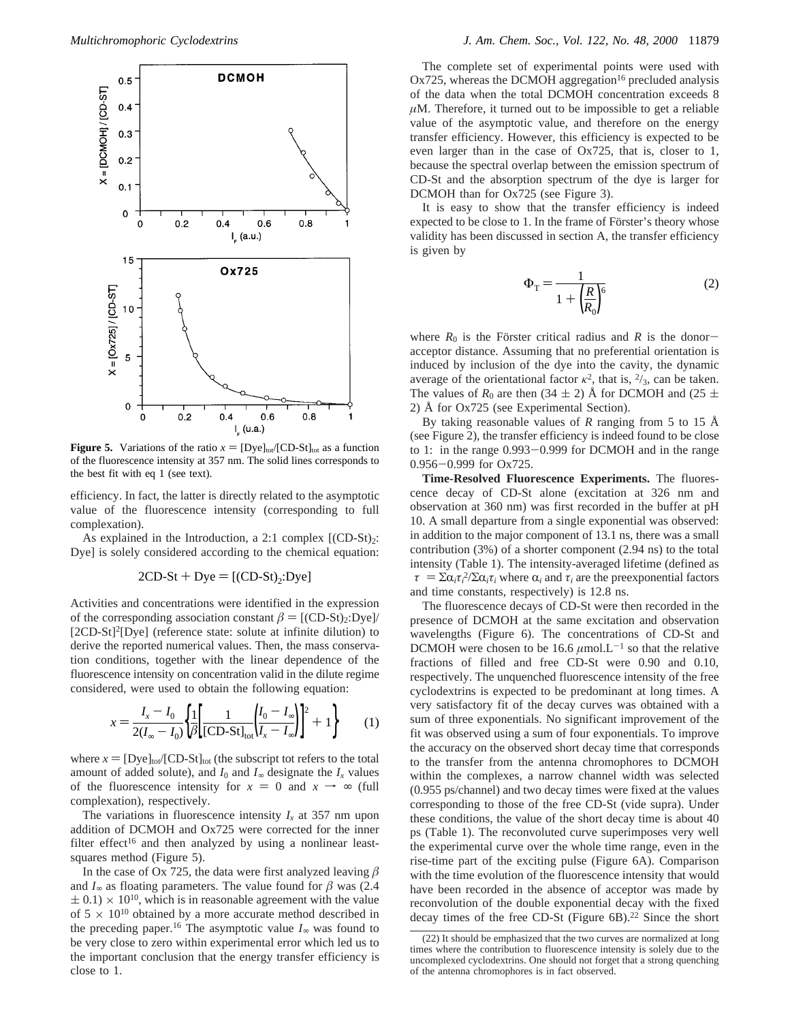

**Figure 5.** Variations of the ratio  $x = [Dye]_{tot}/[CD-St]_{tot}$  as a function of the fluorescence intensity at 357 nm. The solid lines corresponds to the best fit with eq 1 (see text).

efficiency. In fact, the latter is directly related to the asymptotic value of the fluorescence intensity (corresponding to full complexation).

As explained in the Introduction, a 2:1 complex  $[(CD-St)<sub>2</sub>:$ Dye] is solely considered according to the chemical equation:

$$
2CD-St + Dye = [(CD-St)2:Dye]
$$

Activities and concentrations were identified in the expression of the corresponding association constant  $\beta = [(\text{CD-St})_2:\text{Dye}]/$ [2CD-St]<sup>2</sup>[Dye] (reference state: solute at infinite dilution) to derive the reported numerical values. Then, the mass conservation conditions, together with the linear dependence of the fluorescence intensity on concentration valid in the dilute regime considered, were used to obtain the following equation:

$$
x = \frac{I_x - I_0}{2(I_{\infty} - I_0)} \left\{ \frac{1}{\beta} \left[ \frac{1}{[CD - St]_{\text{tot}}} \left( \frac{I_0 - I_{\infty}}{I_x - I_{\infty}} \right) \right]^2 + 1 \right\} \tag{1}
$$

where  $x = [Dye]_{tot}/[CD-St]_{tot}$  (the subscript tot refers to the total amount of added solute), and  $I_0$  and  $I_\infty$  designate the  $I_x$  values of the fluorescence intensity for  $x = 0$  and  $x \rightarrow \infty$  (full complexation), respectively.

The variations in fluorescence intensity  $I_x$  at 357 nm upon addition of DCMOH and Ox725 were corrected for the inner filter effect<sup>16</sup> and then analyzed by using a nonlinear leastsquares method (Figure 5).

In the case of Ox 725, the data were first analyzed leaving  $\beta$ and  $I_{\infty}$  as floating parameters. The value found for  $\beta$  was (2.4)  $\pm$  0.1)  $\times$  10<sup>10</sup>, which is in reasonable agreement with the value of  $5 \times 10^{10}$  obtained by a more accurate method described in the preceding paper.<sup>16</sup> The asymptotic value  $I_{\infty}$  was found to be very close to zero within experimental error which led us to the important conclusion that the energy transfer efficiency is close to 1.

The complete set of experimental points were used with  $Ox725$ , whereas the DCMOH aggregation<sup>16</sup> precluded analysis of the data when the total DCMOH concentration exceeds 8 *µ*M. Therefore, it turned out to be impossible to get a reliable value of the asymptotic value, and therefore on the energy transfer efficiency. However, this efficiency is expected to be even larger than in the case of Ox725, that is, closer to 1, because the spectral overlap between the emission spectrum of CD-St and the absorption spectrum of the dye is larger for DCMOH than for Ox725 (see Figure 3).

It is easy to show that the transfer efficiency is indeed expected to be close to 1. In the frame of Förster's theory whose validity has been discussed in section A, the transfer efficiency is given by

$$
\Phi_{\rm T} = \frac{1}{1 + \left(\frac{R}{R_0}\right)^6} \tag{2}
$$

where  $R_0$  is the Förster critical radius and R is the donoracceptor distance. Assuming that no preferential orientation is induced by inclusion of the dye into the cavity, the dynamic average of the orientational factor  $\kappa^2$ , that is,  $\frac{2}{3}$ , can be taken. The values of  $R_0$  are then (34  $\pm$  2) Å for DCMOH and (25  $\pm$ 2) Å for Ox725 (see Experimental Section).

By taking reasonable values of *R* ranging from 5 to 15 Å (see Figure 2), the transfer efficiency is indeed found to be close to 1: in the range 0.993-0.999 for DCMOH and in the range 0.956-0.999 for Ox725.

**Time-Resolved Fluorescence Experiments.** The fluorescence decay of CD-St alone (excitation at 326 nm and observation at 360 nm) was first recorded in the buffer at pH 10. A small departure from a single exponential was observed: in addition to the major component of 13.1 ns, there was a small contribution (3%) of a shorter component (2.94 ns) to the total intensity (Table 1). The intensity-averaged lifetime (defined as  $\langle \tau \rangle = \sum \alpha_i \tau_i^2 / \sum \alpha_i \tau_i$  where  $\alpha_i$  and  $\tau_i$  are the preexponential factors and time constants respectively) is 12.8 ns and time constants, respectively) is 12.8 ns.

The fluorescence decays of CD-St were then recorded in the presence of DCMOH at the same excitation and observation wavelengths (Figure 6). The concentrations of CD-St and DCMOH were chosen to be 16.6  $\mu$ mol.L<sup>-1</sup> so that the relative fractions of filled and free CD-St were 0.90 and 0.10, respectively. The unquenched fluorescence intensity of the free cyclodextrins is expected to be predominant at long times. A very satisfactory fit of the decay curves was obtained with a sum of three exponentials. No significant improvement of the fit was observed using a sum of four exponentials. To improve the accuracy on the observed short decay time that corresponds to the transfer from the antenna chromophores to DCMOH within the complexes, a narrow channel width was selected (0.955 ps/channel) and two decay times were fixed at the values corresponding to those of the free CD-St (vide supra). Under these conditions, the value of the short decay time is about 40 ps (Table 1). The reconvoluted curve superimposes very well the experimental curve over the whole time range, even in the rise-time part of the exciting pulse (Figure 6A). Comparison with the time evolution of the fluorescence intensity that would have been recorded in the absence of acceptor was made by reconvolution of the double exponential decay with the fixed decay times of the free CD-St (Figure 6B).<sup>22</sup> Since the short

<sup>(22)</sup> It should be emphasized that the two curves are normalized at long times where the contribution to fluorescence intensity is solely due to the uncomplexed cyclodextrins. One should not forget that a strong quenching of the antenna chromophores is in fact observed.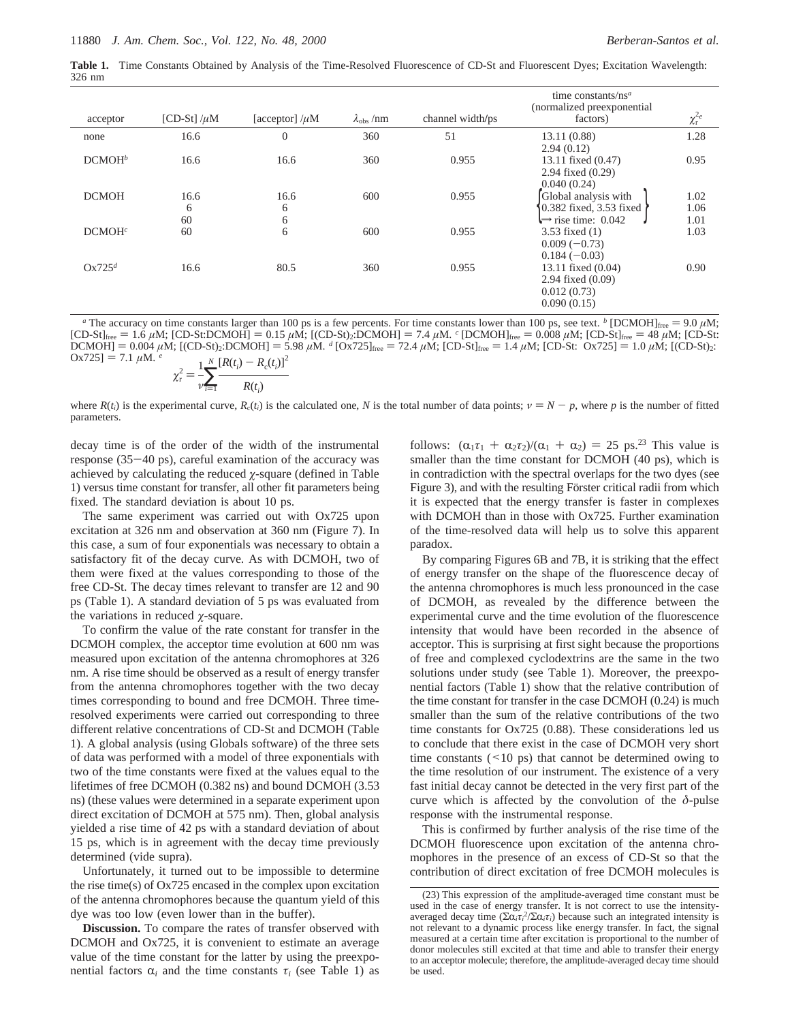**Table 1.** Time Constants Obtained by Analysis of the Time-Resolved Fluorescence of CD-St and Fluorescent Dyes; Excitation Wavelength: 326 nm

| acceptor           | [CD-St] $/\mu$ M | [acceptor] $/\mu$ M | $\lambda_{\rm obs}$ /nm | channel width/ps | time constants/ $nsa$<br>(normalized preexponential)<br>factors)                  | $\chi_{\rm r}^{2e}$  |
|--------------------|------------------|---------------------|-------------------------|------------------|-----------------------------------------------------------------------------------|----------------------|
| none               | 16.6             | $\theta$            | 360                     | 51               | 13.11 (0.88)<br>2.94(0.12)                                                        | 1.28                 |
| DCMOH <sup>b</sup> | 16.6             | 16.6                | 360                     | 0.955            | 13.11 fixed (0.47)<br>2.94 fixed (0.29)<br>0.040(0.24)                            | 0.95                 |
| <b>DCMOH</b>       | 16.6<br>6<br>60  | 16.6<br>6<br>6      | 600                     | 0.955            | Global analysis with<br>0.382 fixed, 3.53 fixed<br>$\Rightarrow$ rise time: 0.042 | 1.02<br>1.06<br>1.01 |
| DCMOH <sup>c</sup> | 60               | 6                   | 600                     | 0.955            | 3.53 fixed $(1)$<br>$0.009(-0.73)$<br>$0.184(-0.03)$                              | 1.03                 |
| $Ox725^d$          | 16.6             | 80.5                | 360                     | 0.955            | 13.11 fixed (0.04)<br>2.94 fixed (0.09)<br>0.012(0.73)<br>0.090(0.15)             | 0.90                 |

<sup>*a*</sup> The accuracy on time constants larger than 100 ps is a few percents. For time constants lower than 100 ps, see text. <sup>*b*</sup> [DCMOH]<sub>free</sub> = 9.0  $\mu$ M;  $[CD-St]_{free} = 1.6 \mu M$ ;  $[CD-St:DCMOH] = 0.15 \mu M$ ;  $[ (CD-St)_{2}:DCMOH] = 7.4 \mu M$ . *c*  $[DCMOH]_{free} = 0.008 \mu M$ ;  $[CD-St]_{free} = 48 \mu M$ ;  $[CD-Stt]_{free} = 48 \mu M$  $DCMOH$ ] = 0.004 *µM*; [(CD-St)<sub>2</sub>:DCMOH] = 5.98 *µM*. *d* [Ox725]<sub>free</sub> = 72.4 *µM*; [CD-St]<sub>free</sub> = 1.4 *µM*; [CD-St: Ox725] = 1.0 *µM*; [(CD-St)<sub>2</sub>:  $Ox725$ ] = 7.1  $\mu$ M. <sup>e</sup>  $\chi_{\rm r}^2 = \frac{1}{\nu} \sum_{i=1}^N \frac{[R(t_i) - R_{\rm c}(t_i)]^2}{R(t_i)}$ 

$$
r = \frac{1}{v_{i=1}} \cdot \frac{R(t_i)}{R(t_i)}
$$

where  $R(t_i)$  is the experimental curve,  $R_c(t_i)$  is the calculated one, *N* is the total number of data points;  $\nu = N - p$ , where *p* is the number of fitted parameters.

decay time is of the order of the width of the instrumental response (35-40 ps), careful examination of the accuracy was achieved by calculating the reduced *ø*-square (defined in Table 1) versus time constant for transfer, all other fit parameters being fixed. The standard deviation is about 10 ps.

The same experiment was carried out with Ox725 upon excitation at 326 nm and observation at 360 nm (Figure 7). In this case, a sum of four exponentials was necessary to obtain a satisfactory fit of the decay curve. As with DCMOH, two of them were fixed at the values corresponding to those of the free CD-St. The decay times relevant to transfer are 12 and 90 ps (Table 1). A standard deviation of 5 ps was evaluated from the variations in reduced *ø*-square.

To confirm the value of the rate constant for transfer in the DCMOH complex, the acceptor time evolution at 600 nm was measured upon excitation of the antenna chromophores at 326 nm. A rise time should be observed as a result of energy transfer from the antenna chromophores together with the two decay times corresponding to bound and free DCMOH. Three timeresolved experiments were carried out corresponding to three different relative concentrations of CD-St and DCMOH (Table 1). A global analysis (using Globals software) of the three sets of data was performed with a model of three exponentials with two of the time constants were fixed at the values equal to the lifetimes of free DCMOH (0.382 ns) and bound DCMOH (3.53 ns) (these values were determined in a separate experiment upon direct excitation of DCMOH at 575 nm). Then, global analysis yielded a rise time of 42 ps with a standard deviation of about 15 ps, which is in agreement with the decay time previously determined (vide supra).

Unfortunately, it turned out to be impossible to determine the rise time(s) of Ox725 encased in the complex upon excitation of the antenna chromophores because the quantum yield of this dye was too low (even lower than in the buffer).

**Discussion.** To compare the rates of transfer observed with DCMOH and Ox725, it is convenient to estimate an average value of the time constant for the latter by using the preexponential factors  $\alpha_i$  and the time constants  $\tau_i$  (see Table 1) as

follows:  $(\alpha_1 \tau_1 + \alpha_2 \tau_2)/(\alpha_1 + \alpha_2) = 25$  ps.<sup>23</sup> This value is smaller than the time constant for DCMOH (40 ps), which is in contradiction with the spectral overlaps for the two dyes (see Figure 3), and with the resulting Förster critical radii from which it is expected that the energy transfer is faster in complexes with DCMOH than in those with Ox725. Further examination of the time-resolved data will help us to solve this apparent paradox.

By comparing Figures 6B and 7B, it is striking that the effect of energy transfer on the shape of the fluorescence decay of the antenna chromophores is much less pronounced in the case of DCMOH, as revealed by the difference between the experimental curve and the time evolution of the fluorescence intensity that would have been recorded in the absence of acceptor. This is surprising at first sight because the proportions of free and complexed cyclodextrins are the same in the two solutions under study (see Table 1). Moreover, the preexponential factors (Table 1) show that the relative contribution of the time constant for transfer in the case DCMOH (0.24) is much smaller than the sum of the relative contributions of the two time constants for Ox725 (0.88). These considerations led us to conclude that there exist in the case of DCMOH very short time constants  $($  < 10 ps) that cannot be determined owing to the time resolution of our instrument. The existence of a very fast initial decay cannot be detected in the very first part of the curve which is affected by the convolution of the *δ*-pulse response with the instrumental response.

This is confirmed by further analysis of the rise time of the DCMOH fluorescence upon excitation of the antenna chromophores in the presence of an excess of CD-St so that the contribution of direct excitation of free DCMOH molecules is

<sup>(23)</sup> This expression of the amplitude-averaged time constant must be used in the case of energy transfer. It is not correct to use the intensityaveraged decay time  $(\Sigma \alpha_i \tau_i^2 / \Sigma \alpha_i \tau_i)$  because such an integrated intensity is<br>not relevant to a dynamic process like energy transfer. In fact, the signal not relevant to a dynamic process like energy transfer. In fact, the signal measured at a certain time after excitation is proportional to the number of donor molecules still excited at that time and able to transfer their energy to an acceptor molecule; therefore, the amplitude-averaged decay time should be used.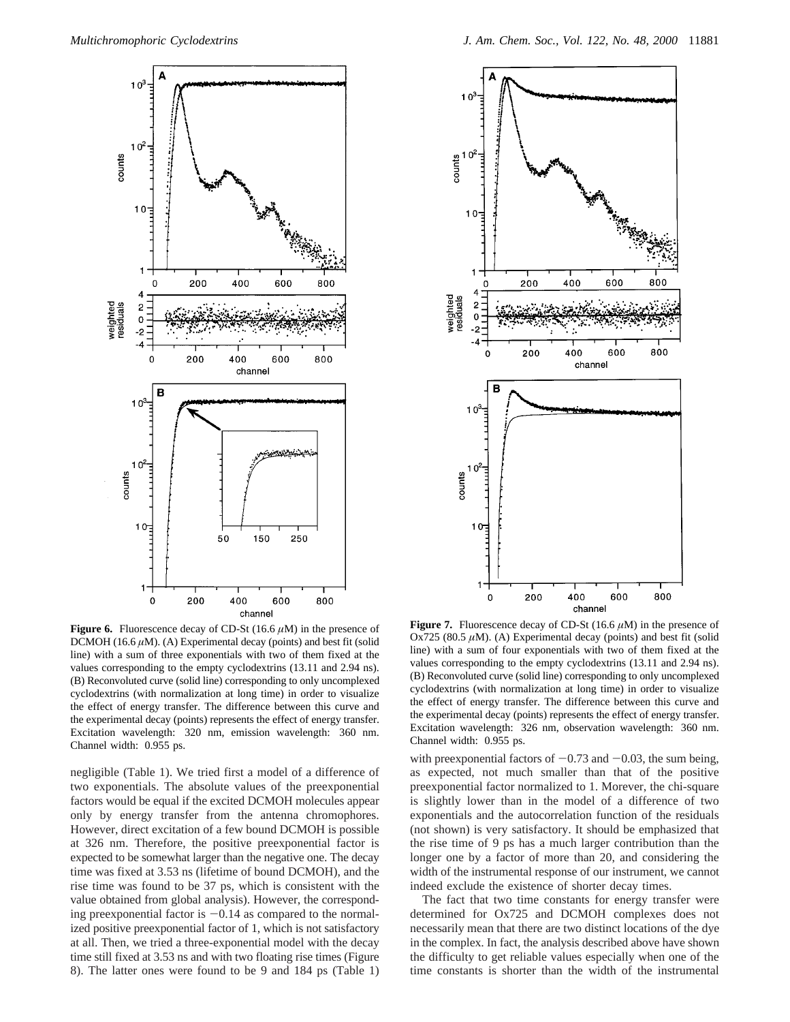

**Figure 6.** Fluorescence decay of CD-St  $(16.6 \mu M)$  in the presence of DCMOH (16.6  $\mu$ M). (A) Experimental decay (points) and best fit (solid line) with a sum of three exponentials with two of them fixed at the values corresponding to the empty cyclodextrins (13.11 and 2.94 ns). (B) Reconvoluted curve (solid line) corresponding to only uncomplexed cyclodextrins (with normalization at long time) in order to visualize the effect of energy transfer. The difference between this curve and the experimental decay (points) represents the effect of energy transfer. Excitation wavelength: 320 nm, emission wavelength: 360 nm. Channel width: 0.955 ps.

negligible (Table 1). We tried first a model of a difference of two exponentials. The absolute values of the preexponential factors would be equal if the excited DCMOH molecules appear only by energy transfer from the antenna chromophores. However, direct excitation of a few bound DCMOH is possible at 326 nm. Therefore, the positive preexponential factor is expected to be somewhat larger than the negative one. The decay time was fixed at 3.53 ns (lifetime of bound DCMOH), and the rise time was found to be 37 ps, which is consistent with the value obtained from global analysis). However, the corresponding preexponential factor is  $-0.14$  as compared to the normalized positive preexponential factor of 1, which is not satisfactory at all. Then, we tried a three-exponential model with the decay time still fixed at 3.53 ns and with two floating rise times (Figure 8). The latter ones were found to be 9 and 184 ps (Table 1)



**Figure 7.** Fluorescence decay of CD-St (16.6 *µ*M) in the presence of Ox725 (80.5  $\mu$ M). (A) Experimental decay (points) and best fit (solid line) with a sum of four exponentials with two of them fixed at the values corresponding to the empty cyclodextrins (13.11 and 2.94 ns). (B) Reconvoluted curve (solid line) corresponding to only uncomplexed cyclodextrins (with normalization at long time) in order to visualize the effect of energy transfer. The difference between this curve and the experimental decay (points) represents the effect of energy transfer. Excitation wavelength: 326 nm, observation wavelength: 360 nm. Channel width: 0.955 ps.

with preexponential factors of  $-0.73$  and  $-0.03$ , the sum being, as expected, not much smaller than that of the positive preexponential factor normalized to 1. Morever, the chi-square is slightly lower than in the model of a difference of two exponentials and the autocorrelation function of the residuals (not shown) is very satisfactory. It should be emphasized that the rise time of 9 ps has a much larger contribution than the longer one by a factor of more than 20, and considering the width of the instrumental response of our instrument, we cannot indeed exclude the existence of shorter decay times.

The fact that two time constants for energy transfer were determined for Ox725 and DCMOH complexes does not necessarily mean that there are two distinct locations of the dye in the complex. In fact, the analysis described above have shown the difficulty to get reliable values especially when one of the time constants is shorter than the width of the instrumental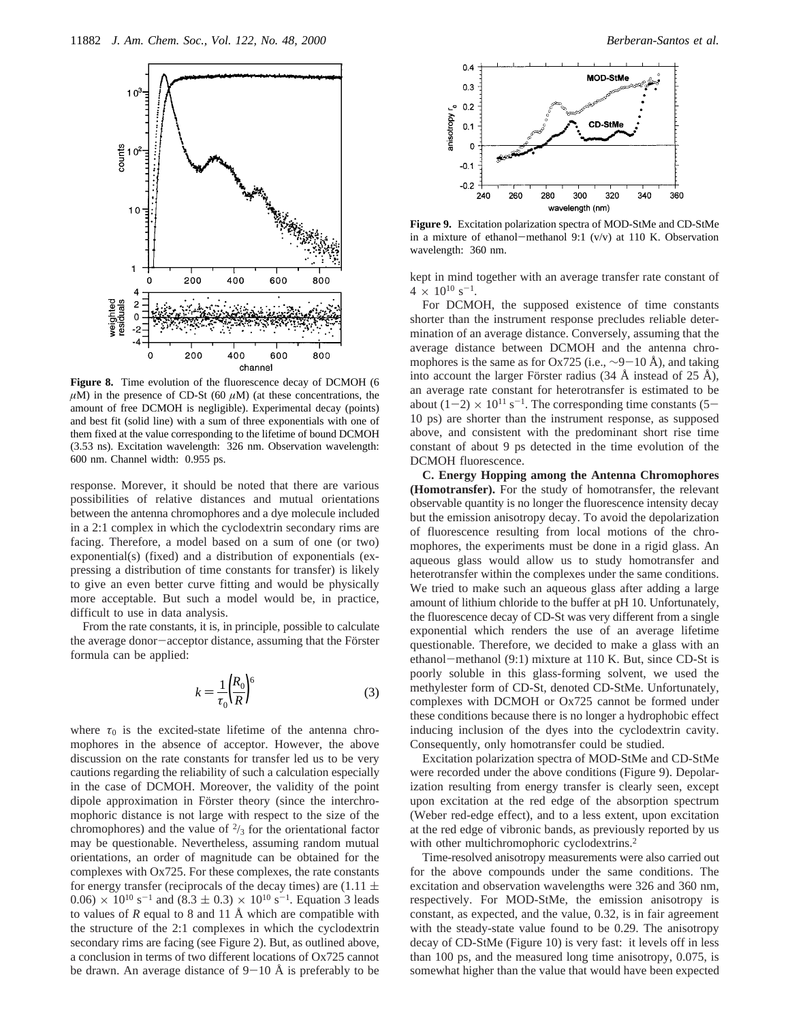

**Figure 8.** Time evolution of the fluorescence decay of DCMOH (6  $\mu$ M) in the presence of CD-St (60  $\mu$ M) (at these concentrations, the amount of free DCMOH is negligible). Experimental decay (points) and best fit (solid line) with a sum of three exponentials with one of them fixed at the value corresponding to the lifetime of bound DCMOH (3.53 ns). Excitation wavelength: 326 nm. Observation wavelength: 600 nm. Channel width: 0.955 ps.

response. Morever, it should be noted that there are various possibilities of relative distances and mutual orientations between the antenna chromophores and a dye molecule included in a 2:1 complex in which the cyclodextrin secondary rims are facing. Therefore, a model based on a sum of one (or two) exponential(s) (fixed) and a distribution of exponentials (expressing a distribution of time constants for transfer) is likely to give an even better curve fitting and would be physically more acceptable. But such a model would be, in practice, difficult to use in data analysis.

From the rate constants, it is, in principle, possible to calculate the average donor-acceptor distance, assuming that the Förster formula can be applied:

$$
k = \frac{1}{\tau_0} \left(\frac{R_0}{R}\right)^6 \tag{3}
$$

where  $\tau_0$  is the excited-state lifetime of the antenna chromophores in the absence of acceptor. However, the above discussion on the rate constants for transfer led us to be very cautions regarding the reliability of such a calculation especially in the case of DCMOH. Moreover, the validity of the point dipole approximation in Förster theory (since the interchromophoric distance is not large with respect to the size of the chromophores) and the value of  $\frac{2}{3}$  for the orientational factor may be questionable. Nevertheless, assuming random mutual orientations, an order of magnitude can be obtained for the complexes with Ox725. For these complexes, the rate constants for energy transfer (reciprocals of the decay times) are  $(1.11 \pm$  $0.06$   $\times$  10<sup>10</sup> s<sup>-1</sup> and (8.3  $\pm$  0.3)  $\times$  10<sup>10</sup> s<sup>-1</sup>. Equation 3 leads to values of *R* equal to 8 and 11 Å which are compatible with the structure of the 2:1 complexes in which the cyclodextrin secondary rims are facing (see Figure 2). But, as outlined above, a conclusion in terms of two different locations of Ox725 cannot be drawn. An average distance of  $9-10$  Å is preferably to be



**Figure 9.** Excitation polarization spectra of MOD-StMe and CD-StMe in a mixture of ethanol-methanol 9:1  $(v/v)$  at 110 K. Observation wavelength: 360 nm.

kept in mind together with an average transfer rate constant of  $4 \times 10^{10}$  s<sup>-1</sup>.

For DCMOH, the supposed existence of time constants shorter than the instrument response precludes reliable determination of an average distance. Conversely, assuming that the average distance between DCMOH and the antenna chromophores is the same as for Ox725 (i.e.,  $\sim$ 9-10 Å), and taking into account the larger Förster radius (34 Å instead of 25 Å), an average rate constant for heterotransfer is estimated to be about  $(1-2) \times 10^{11}$  s<sup>-1</sup>. The corresponding time constants (5-10 ps) are shorter than the instrument response, as supposed above, and consistent with the predominant short rise time constant of about 9 ps detected in the time evolution of the DCMOH fluorescence.

**C. Energy Hopping among the Antenna Chromophores (Homotransfer).** For the study of homotransfer, the relevant observable quantity is no longer the fluorescence intensity decay but the emission anisotropy decay. To avoid the depolarization of fluorescence resulting from local motions of the chromophores, the experiments must be done in a rigid glass. An aqueous glass would allow us to study homotransfer and heterotransfer within the complexes under the same conditions. We tried to make such an aqueous glass after adding a large amount of lithium chloride to the buffer at pH 10. Unfortunately, the fluorescence decay of CD-St was very different from a single exponential which renders the use of an average lifetime questionable. Therefore, we decided to make a glass with an ethanol-methanol (9:1) mixture at 110 K. But, since CD-St is poorly soluble in this glass-forming solvent, we used the methylester form of CD-St, denoted CD-StMe. Unfortunately, complexes with DCMOH or Ox725 cannot be formed under these conditions because there is no longer a hydrophobic effect inducing inclusion of the dyes into the cyclodextrin cavity. Consequently, only homotransfer could be studied.

Excitation polarization spectra of MOD-StMe and CD-StMe were recorded under the above conditions (Figure 9). Depolarization resulting from energy transfer is clearly seen, except upon excitation at the red edge of the absorption spectrum (Weber red-edge effect), and to a less extent, upon excitation at the red edge of vibronic bands, as previously reported by us with other multichromophoric cyclodextrins.<sup>2</sup>

Time-resolved anisotropy measurements were also carried out for the above compounds under the same conditions. The excitation and observation wavelengths were 326 and 360 nm, respectively. For MOD-StMe, the emission anisotropy is constant, as expected, and the value, 0.32, is in fair agreement with the steady-state value found to be 0.29. The anisotropy decay of CD-StMe (Figure 10) is very fast: it levels off in less than 100 ps, and the measured long time anisotropy, 0.075, is somewhat higher than the value that would have been expected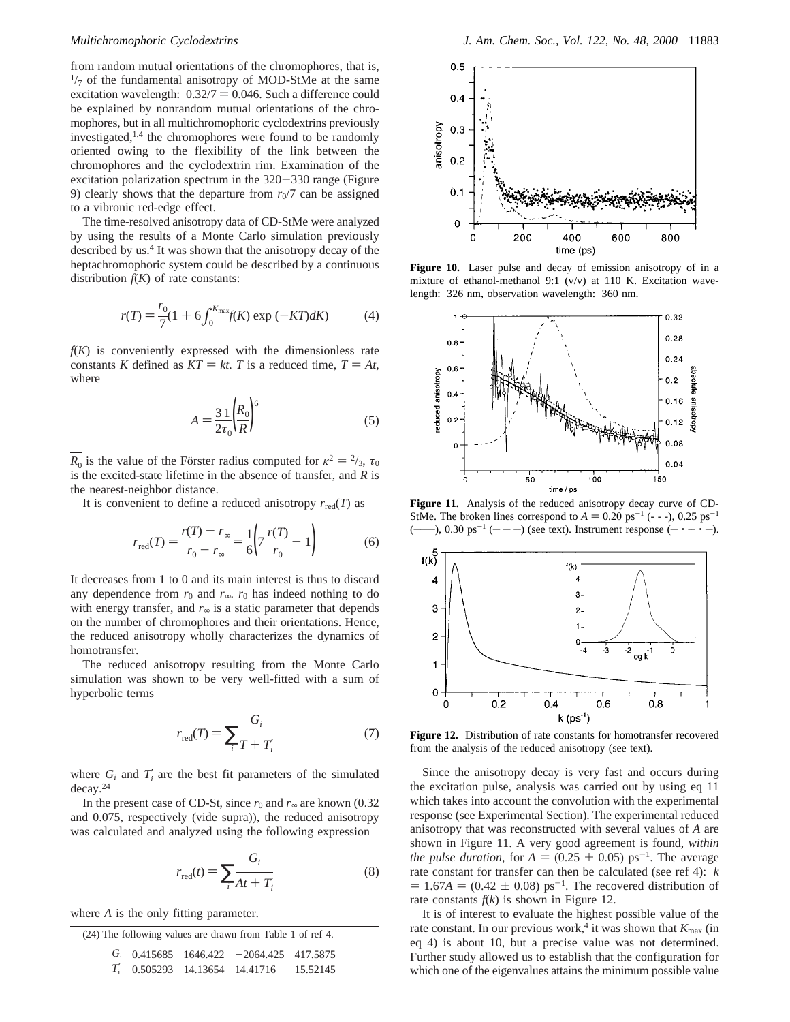from random mutual orientations of the chromophores, that is,  $\frac{1}{7}$  of the fundamental anisotropy of MOD-StMe at the same excitation wavelength:  $0.32/7 = 0.046$ . Such a difference could be explained by nonrandom mutual orientations of the chromophores, but in all multichromophoric cyclodextrins previously investigated, $1,4$  the chromophores were found to be randomly oriented owing to the flexibility of the link between the chromophores and the cyclodextrin rim. Examination of the excitation polarization spectrum in the 320-330 range (Figure 9) clearly shows that the departure from  $r_0/7$  can be assigned to a vibronic red-edge effect.

The time-resolved anisotropy data of CD-StMe were analyzed by using the results of a Monte Carlo simulation previously described by us.<sup>4</sup> It was shown that the anisotropy decay of the heptachromophoric system could be described by a continuous distribution  $f(K)$  of rate constants:

$$
r(T) = \frac{r_0}{7} (1 + 6 \int_0^{K_{\text{max}}} f(K) \exp(-KT) dK)
$$
 (4)

 $f(K)$  is conveniently expressed with the dimensionless rate constants *K* defined as  $KT = kt$ . *T* is a reduced time,  $T = At$ , where

$$
A = \frac{3}{2\tau_0} \left(\frac{R_0}{R}\right)^6 \tag{5}
$$

*R*<sub>0</sub> is the value of the Förster radius computed for  $\kappa^2 = \frac{2}{3}$ ,  $\tau_0$ is the excited-state lifetime in the absence of transfer, and *R* is the nearest-neighbor distance.

It is convenient to define a reduced anisotropy  $r_{\text{red}}(T)$  as

$$
r_{\text{red}}(T) = \frac{r(T) - r_{\infty}}{r_0 - r_{\infty}} = \frac{1}{6} \left( 7 \frac{r(T)}{r_0} - 1 \right)
$$
 (6)

It decreases from 1 to 0 and its main interest is thus to discard any dependence from  $r_0$  and  $r_\infty$ .  $r_0$  has indeed nothing to do with energy transfer, and  $r<sub>∞</sub>$  is a static parameter that depends on the number of chromophores and their orientations. Hence, the reduced anisotropy wholly characterizes the dynamics of homotransfer.

The reduced anisotropy resulting from the Monte Carlo simulation was shown to be very well-fitted with a sum of hyperbolic terms

$$
r_{\text{red}}(T) = \sum_{i} \frac{G_i}{T + T_i'}
$$
 (7)

where  $G_i$  and  $T'_i$  are the best fit parameters of the simulated decay.24

In the present case of CD-St, since  $r_0$  and  $r_\infty$  are known (0.32) and 0.075, respectively (vide supra)), the reduced anisotropy was calculated and analyzed using the following expression

$$
r_{\text{red}}(t) = \sum_{i} \frac{G_i}{At + T_i'}
$$
 (8)

where *A* is the only fitting parameter.

| (24) The following values are drawn from Table 1 of ref 4. |  |  |                                            |  |  |  |  |  |  |
|------------------------------------------------------------|--|--|--------------------------------------------|--|--|--|--|--|--|
|                                                            |  |  | $G_i$ 0.415685 1646.422 -2064.425 417.5875 |  |  |  |  |  |  |
|                                                            |  |  | $T_1'$ 0.505293 14.13654 14.41716 15.52145 |  |  |  |  |  |  |



**Figure 10.** Laser pulse and decay of emission anisotropy of in a mixture of ethanol-methanol 9:1 (v/v) at 110 K. Excitation wavelength: 326 nm, observation wavelength: 360 nm.



**Figure 11.** Analysis of the reduced anisotropy decay curve of CD-StMe. The broken lines correspond to  $A = 0.20 \text{ ps}^{-1}$  (- - -), 0.25 ps<sup>-1</sup> (**\_\_\_\_\_\_**), 0.30 ps-<sup>1</sup> (**\_\_ \_\_ \_\_**) (see text). Instrument response (**\_\_** ' **\_\_** ' **\_\_**).



**Figure 12.** Distribution of rate constants for homotransfer recovered from the analysis of the reduced anisotropy (see text).

Since the anisotropy decay is very fast and occurs during the excitation pulse, analysis was carried out by using eq 11 which takes into account the convolution with the experimental response (see Experimental Section). The experimental reduced anisotropy that was reconstructed with several values of *A* are shown in Figure 11. A very good agreement is found, *within the pulse duration*, for  $A = (0.25 \pm 0.05)$  ps<sup>-1</sup>. The average rate constant for transfer can then be calculated (see ref 4):  $\overline{k}$  $= 1.67A = (0.42 \pm 0.08) \text{ ps}^{-1}$ . The recovered distribution of rate constants  $f(k)$  is shown in Figure 12.

It is of interest to evaluate the highest possible value of the rate constant. In our previous work,<sup>4</sup> it was shown that  $K_{\text{max}}$  (in eq 4) is about 10, but a precise value was not determined. Further study allowed us to establish that the configuration for which one of the eigenvalues attains the minimum possible value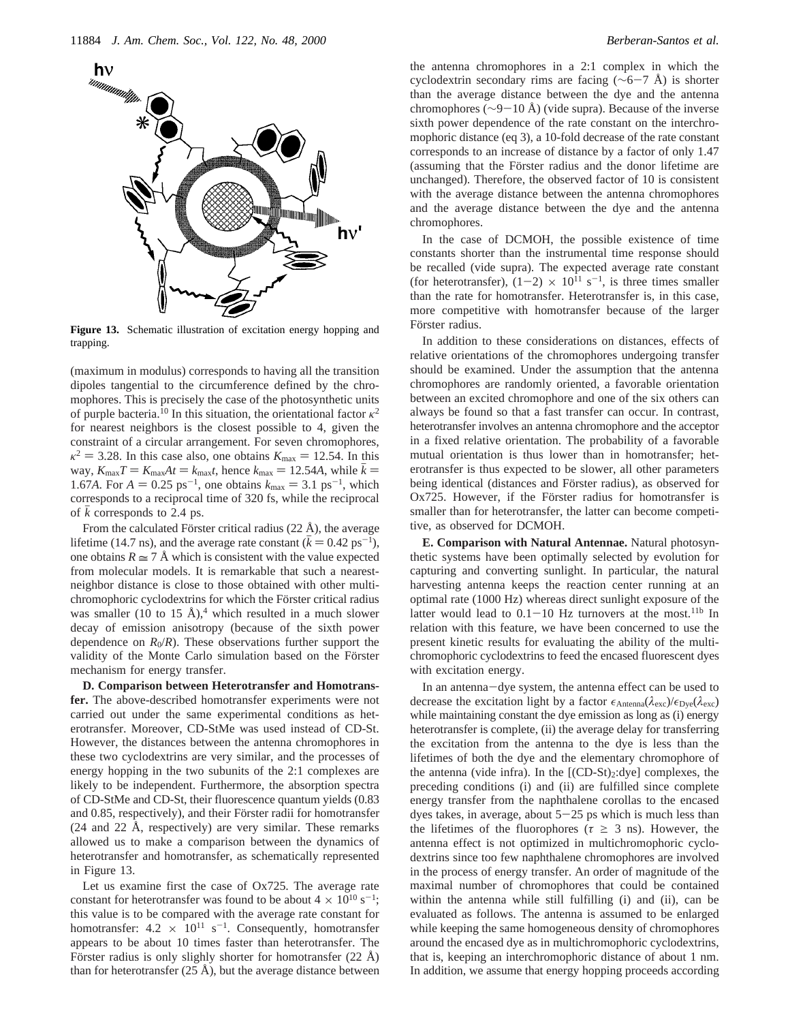

**Figure 13.** Schematic illustration of excitation energy hopping and trapping.

(maximum in modulus) corresponds to having all the transition dipoles tangential to the circumference defined by the chromophores. This is precisely the case of the photosynthetic units of purple bacteria.<sup>10</sup> In this situation, the orientational factor  $\kappa^2$ for nearest neighbors is the closest possible to 4, given the constraint of a circular arrangement. For seven chromophores,  $\kappa^2 = 3.28$ . In this case also, one obtains  $K_{\text{max}} = 12.54$ . In this way,  $K_{\text{max}}T = K_{\text{max}}At = k_{\text{max}}t$ , hence  $k_{\text{max}} = 12.54A$ , while  $\bar{k} =$ 1.67*A*. For  $A = 0.25$  ps<sup>-1</sup>, one obtains  $k_{\text{max}} = 3.1$  ps<sup>-1</sup>, which corresponds to a reciprocal time of 320 fs, while the reciprocal of *<sup>k</sup>*h corresponds to 2.4 ps.

From the calculated Förster critical radius (22 Å), the average lifetime (14.7 ns), and the average rate constant ( $\bar{k} = 0.42 \text{ ps}^{-1}$ ), one obtains  $R \approx 7$  Å which is consistent with the value expected from molecular models. It is remarkable that such a nearestneighbor distance is close to those obtained with other multichromophoric cyclodextrins for which the Förster critical radius was smaller (10 to 15 Å),<sup>4</sup> which resulted in a much slower decay of emission anisotropy (because of the sixth power dependence on  $R_0/R$ ). These observations further support the validity of the Monte Carlo simulation based on the Förster mechanism for energy transfer.

**D. Comparison between Heterotransfer and Homotransfer.** The above-described homotransfer experiments were not carried out under the same experimental conditions as heterotransfer. Moreover, CD-StMe was used instead of CD-St. However, the distances between the antenna chromophores in these two cyclodextrins are very similar, and the processes of energy hopping in the two subunits of the 2:1 complexes are likely to be independent. Furthermore, the absorption spectra of CD-StMe and CD-St, their fluorescence quantum yields (0.83 and 0.85, respectively), and their Förster radii for homotransfer (24 and 22 Å, respectively) are very similar. These remarks allowed us to make a comparison between the dynamics of heterotransfer and homotransfer, as schematically represented in Figure 13.

Let us examine first the case of Ox725. The average rate constant for heterotransfer was found to be about  $4 \times 10^{10}$  s<sup>-1</sup>; this value is to be compared with the average rate constant for homotransfer:  $4.2 \times 10^{11} \text{ s}^{-1}$ . Consequently, homotransfer appears to be about 10 times faster than heterotransfer. The Förster radius is only slighly shorter for homotransfer  $(22 \text{ Å})$ than for heterotransfer  $(25 \text{ Å})$ , but the average distance between the antenna chromophores in a 2:1 complex in which the cyclodextrin secondary rims are facing ( $\sim$ 6-7 Å) is shorter than the average distance between the dye and the antenna chromophores ( $\sim$ 9-10 Å) (vide supra). Because of the inverse sixth power dependence of the rate constant on the interchromophoric distance (eq 3), a 10-fold decrease of the rate constant corresponds to an increase of distance by a factor of only 1.47 (assuming that the Förster radius and the donor lifetime are unchanged). Therefore, the observed factor of 10 is consistent with the average distance between the antenna chromophores and the average distance between the dye and the antenna chromophores.

In the case of DCMOH, the possible existence of time constants shorter than the instrumental time response should be recalled (vide supra). The expected average rate constant (for heterotransfer),  $(1-2) \times 10^{11}$  s<sup>-1</sup>, is three times smaller than the rate for homotransfer. Heterotransfer is, in this case, more competitive with homotransfer because of the larger Förster radius.

In addition to these considerations on distances, effects of relative orientations of the chromophores undergoing transfer should be examined. Under the assumption that the antenna chromophores are randomly oriented, a favorable orientation between an excited chromophore and one of the six others can always be found so that a fast transfer can occur. In contrast, heterotransfer involves an antenna chromophore and the acceptor in a fixed relative orientation. The probability of a favorable mutual orientation is thus lower than in homotransfer; heterotransfer is thus expected to be slower, all other parameters being identical (distances and Förster radius), as observed for Ox725. However, if the Förster radius for homotransfer is smaller than for heterotransfer, the latter can become competitive, as observed for DCMOH.

**E. Comparison with Natural Antennae.** Natural photosynthetic systems have been optimally selected by evolution for capturing and converting sunlight. In particular, the natural harvesting antenna keeps the reaction center running at an optimal rate (1000 Hz) whereas direct sunlight exposure of the latter would lead to  $0.1-10$  Hz turnovers at the most.<sup>11b</sup> In relation with this feature, we have been concerned to use the present kinetic results for evaluating the ability of the multichromophoric cyclodextrins to feed the encased fluorescent dyes with excitation energy.

In an antenna-dye system, the antenna effect can be used to decrease the excitation light by a factor  $\epsilon_{\text{Antenna}}(\lambda_{\text{exc}})/\epsilon_{\text{Dve}}(\lambda_{\text{exc}})$ while maintaining constant the dye emission as long as (i) energy heterotransfer is complete, (ii) the average delay for transferring the excitation from the antenna to the dye is less than the lifetimes of both the dye and the elementary chromophore of the antenna (vide infra). In the  $[(CD-St)_2:dye]$  complexes, the preceding conditions (i) and (ii) are fulfilled since complete energy transfer from the naphthalene corollas to the encased dyes takes, in average, about  $5-25$  ps which is much less than the lifetimes of the fluorophores ( $\tau \geq 3$  ns). However, the antenna effect is not optimized in multichromophoric cyclodextrins since too few naphthalene chromophores are involved in the process of energy transfer. An order of magnitude of the maximal number of chromophores that could be contained within the antenna while still fulfilling (i) and (ii), can be evaluated as follows. The antenna is assumed to be enlarged while keeping the same homogeneous density of chromophores around the encased dye as in multichromophoric cyclodextrins, that is, keeping an interchromophoric distance of about 1 nm. In addition, we assume that energy hopping proceeds according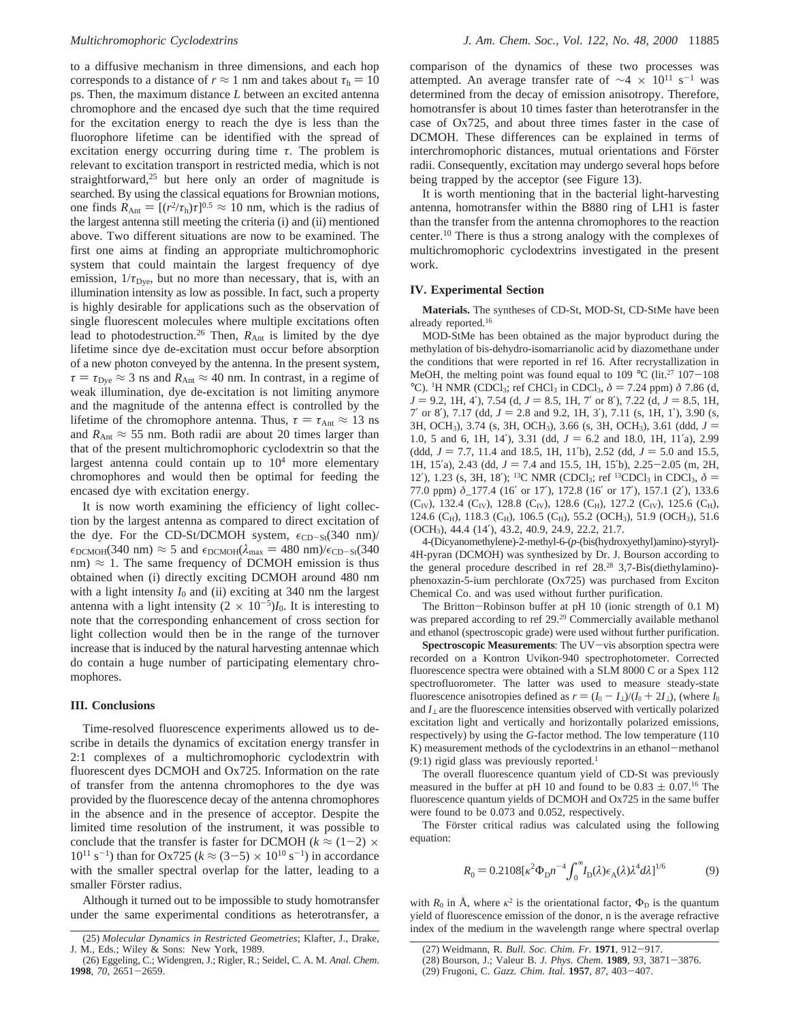to a diffusive mechanism in three dimensions, and each hop corresponds to a distance of  $r \approx 1$  nm and takes about  $\tau_h = 10$ ps. Then, the maximum distance *L* between an excited antenna chromophore and the encased dye such that the time required for the excitation energy to reach the dye is less than the fluorophore lifetime can be identified with the spread of excitation energy occurring during time *τ*. The problem is relevant to excitation transport in restricted media, which is not straightforward,<sup>25</sup> but here only an order of magnitude is searched. By using the classical equations for Brownian motions, one finds  $R_{\text{Ant}} = [(r^2/\tau_{\text{h}}) \tau]^{0.5} \approx 10 \text{ nm}$ , which is the radius of the largest antenna still meeting the criteria (i) and (ii) mentioned above. Two different situations are now to be examined. The first one aims at finding an appropriate multichromophoric system that could maintain the largest frequency of dye emission,  $1/\tau_{\text{Dye}}$ , but no more than necessary, that is, with an illumination intensity as low as possible. In fact, such a property is highly desirable for applications such as the observation of single fluorescent molecules where multiple excitations often lead to photodestruction.<sup>26</sup> Then,  $R_{\text{Ant}}$  is limited by the dye lifetime since dye de-excitation must occur before absorption of a new photon conveyed by the antenna. In the present system,  $\tau = \tau_{\text{Dve}} \approx 3$  ns and  $R_{\text{Ant}} \approx 40$  nm. In contrast, in a regime of weak illumination, dye de-excitation is not limiting anymore and the magnitude of the antenna effect is controlled by the lifetime of the chromophore antenna. Thus,  $\tau = \tau_{\text{Ant}} \approx 13 \text{ ns}$ and  $R_{\text{Ant}} \approx 55$  nm. Both radii are about 20 times larger than that of the present multichromophoric cyclodextrin so that the largest antenna could contain up to  $10<sup>4</sup>$  more elementary chromophores and would then be optimal for feeding the encased dye with excitation energy.

It is now worth examining the efficiency of light collection by the largest antenna as compared to direct excitation of the dye. For the CD-St/DCMOH system,  $\epsilon_{CD-St}(340 \text{ nm})/$  $\epsilon_{\text{DCMOH}}(340 \text{ nm}) \approx 5$  and  $\epsilon_{\text{DCMOH}}(\lambda_{\text{max}} = 480 \text{ nm})/\epsilon_{\text{CD-St}}(340 \text{ nm})$ nm)  $\approx$  1. The same frequency of DCMOH emission is thus obtained when (i) directly exciting DCMOH around 480 nm with a light intensity  $I_0$  and (ii) exciting at 340 nm the largest antenna with a light intensity  $(2 \times 10^{-5})I_0$ . It is interesting to note that the corresponding enhancement of cross section for light collection would then be in the range of the turnover increase that is induced by the natural harvesting antennae which do contain a huge number of participating elementary chromophores.

### **III. Conclusions**

Time-resolved fluorescence experiments allowed us to describe in details the dynamics of excitation energy transfer in 2:1 complexes of a multichromophoric cyclodextrin with fluorescent dyes DCMOH and Ox725. Information on the rate of transfer from the antenna chromophores to the dye was provided by the fluorescence decay of the antenna chromophores in the absence and in the presence of acceptor. Despite the limited time resolution of the instrument, it was possible to conclude that the transfer is faster for DCMOH ( $k \approx (1-2) \times$  $10^{11}$  s<sup>-1</sup>) than for Ox725 ( $k \approx (3-5) \times 10^{10}$  s<sup>-1</sup>) in accordance with the smaller spectral overlap for the latter, leading to a smaller Förster radius.

Although it turned out to be impossible to study homotransfer under the same experimental conditions as heterotransfer, a

comparison of the dynamics of these two processes was attempted. An average transfer rate of  $\sim$ 4 × 10<sup>11</sup> s<sup>-1</sup> was determined from the decay of emission anisotropy. Therefore, homotransfer is about 10 times faster than heterotransfer in the case of Ox725, and about three times faster in the case of DCMOH. These differences can be explained in terms of interchromophoric distances, mutual orientations and Förster radii. Consequently, excitation may undergo several hops before being trapped by the acceptor (see Figure 13).

It is worth mentioning that in the bacterial light-harvesting antenna, homotransfer within the B880 ring of LH1 is faster than the transfer from the antenna chromophores to the reaction center.10 There is thus a strong analogy with the complexes of multichromophoric cyclodextrins investigated in the present work.

## **IV. Experimental Section**

**Materials.** The syntheses of CD-St, MOD-St, CD-StMe have been already reported.16

MOD-StMe has been obtained as the major byproduct during the methylation of bis-dehydro-isomarrianolic acid by diazomethane under the conditions that were reported in ref 16. After recrystallization in MeOH, the melting point was found equal to 109 °C (lit.<sup>27</sup> 107-108) °C). <sup>1</sup>H NMR (CDCl<sub>3</sub>; ref CHCl<sub>3</sub> in CDCl<sub>3</sub>,  $\delta = 7.24$  ppm)  $\delta$  7.86 (d,  $I = 9.2$  1H 4<sup>2</sup>) 7.54 (d,  $I = 8.5$  1H 7' or 8<sup>2</sup>) 7.22 (d,  $I = 8.5$  1H  $J = 9.2$ , 1H, 4'), 7.54 (d,  $J = 8.5$ , 1H, 7' or 8'), 7.22 (d,  $J = 8.5$ , 1H,  $7'$  or 8'), 7.17 (dd,  $J = 2.8$  and 9.2, 1H, 3'), 7.11 (s, 1H, 1'), 3.90 (s, 3H, OCH3), 3.74 (s, 3H, OCH3), 3.66 (s, 3H, OCH3), 3.61 (ddd, *<sup>J</sup>* ) 1.0, 5 and 6, 1H, 14'), 3.31 (dd,  $J = 6.2$  and 18.0, 1H, 11'a), 2.99 (ddd,  $J = 7.7$ , 11.4 and 18.5, 1H, 11<sup>'b</sup>), 2.52 (dd,  $J = 5.0$  and 15.5, 1H, 15<sup>'</sup>a), 2.43 (dd,  $J = 7.4$  and 15.5, 1H, 15<sup>'</sup>b), 2.25-2.05 (m, 2H, 12'), 1.23 (s, 3H, 18'); <sup>13</sup>C NMR (CDCl<sub>3</sub>; ref <sup>13</sup>CDCl<sub>3</sub> in CDCl<sub>3</sub>,  $\delta$  = 77.0 ppm) *δ*\_177.4 (16′ or 17′), 172.8 (16′ or 17′), 157.1 (2′), 133.6 (C<sub>IV</sub>), 132.4 (C<sub>IV</sub>), 128.8 (C<sub>IV</sub>), 128.6 (C<sub>H</sub>), 127.2 (C<sub>IV</sub>), 125.6 (C<sub>H</sub>), 124.6 (CH), 118.3 (CH), 106.5 (CH), 55.2 (OCH<sub>3</sub>), 51.9 (OCH<sub>3</sub>), 51.6 (OCH3), 44.4 (14′), 43.2, 40.9, 24.9, 22.2, 21.7.

4-(Dicyanomethylene)-2-methyl-6-(*p*-(bis(hydroxyethyl)amino)-styryl)- 4H-pyran (DCMOH) was synthesized by Dr. J. Bourson according to the general procedure described in ref 28.28 3,7-Bis(diethylamino) phenoxazin-5-ium perchlorate (Ox725) was purchased from Exciton Chemical Co. and was used without further purification.

The Britton-Robinson buffer at pH 10 (ionic strength of 0.1 M) was prepared according to ref 29.<sup>29</sup> Commercially available methanol and ethanol (spectroscopic grade) were used without further purification.

**Spectroscopic Measurements**: The UV-vis absorption spectra were recorded on a Kontron Uvikon-940 spectrophotometer. Corrected fluorescence spectra were obtained with a SLM 8000 C or a Spex 112 spectrofluorometer. The latter was used to measure steady-state fluorescence anisotropies defined as  $r = (I_{\parallel} - I_{\perp})/(I_{\parallel} + 2I_{\perp})$ , (where  $I_{\parallel}$ and *I*<sup>⊥</sup> are the fluorescence intensities observed with vertically polarized excitation light and vertically and horizontally polarized emissions, respectively) by using the *G*-factor method. The low temperature (110 K) measurement methods of the cyclodextrins in an ethanol-methanol (9:1) rigid glass was previously reported.1

The overall fluorescence quantum yield of CD-St was previously measured in the buffer at pH 10 and found to be  $0.83 \pm 0.07$ .<sup>16</sup> The fluorescence quantum yields of DCMOH and Ox725 in the same buffer were found to be 0.073 and 0.052, respectively.

The Förster critical radius was calculated using the following equation:

$$
R_0 = 0.2108[\kappa^2 \Phi_D n^{-4} \int_0^\infty I_D(\lambda) \epsilon_A(\lambda) \lambda^4 d\lambda]^{1/6}
$$
 (9)

with  $R_0$  in Å, where  $\kappa^2$  is the orientational factor,  $\Phi_D$  is the quantum yield of fluorescence emission of the donor, n is the average refractive index of the medium in the wavelength range where spectral overlap

<sup>(26)</sup> Eggeling, C.; Widengren, J.; Rigler, R.; Seidel, C. A. M. *Anal. Chem*. **<sup>1998</sup>**, *<sup>70</sup>*, 2651-2659.

<sup>(27)</sup> Weidmann, R. *Bull. Soc. Chim. Fr*. **<sup>1971</sup>**, 912-917.

<sup>(28)</sup> Bourson, J.; Valeur B. *J. Phys. Chem.* **<sup>1989</sup>**, *<sup>93</sup>*, 3871-3876.

<sup>(29)</sup> Frugoni, C. *Gazz. Chim. Ital.* **<sup>1957</sup>**, *87,* <sup>403</sup>-407.